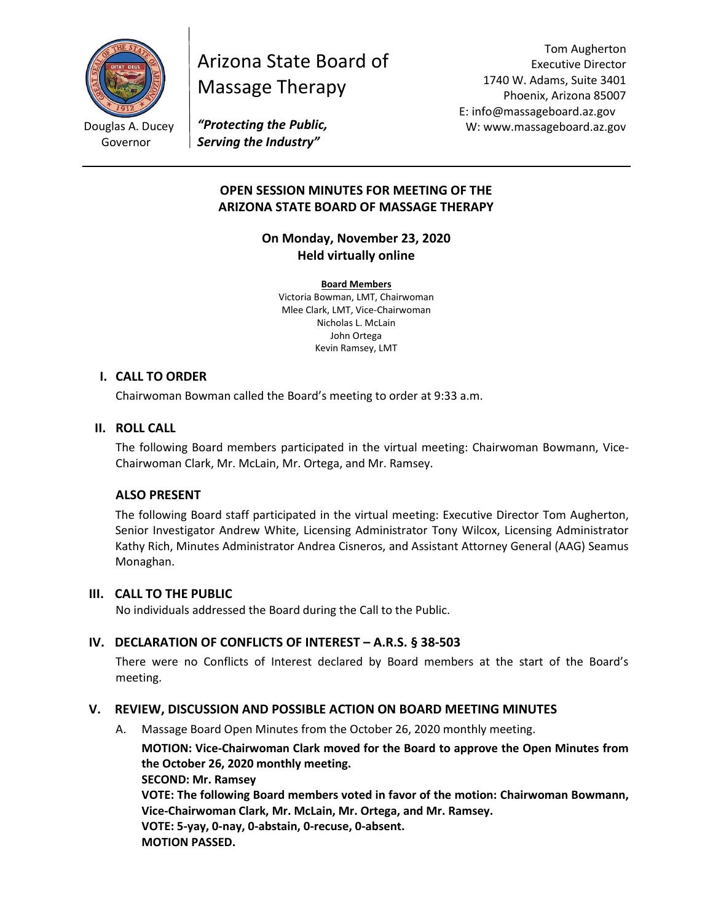

Douglas A. Ducey Governor

# Arizona State Board of Massage Therapy

Tom Augherton Executive Director 1740 W. Adams, Suite 3401 Phoenix, Arizona 85007 E: info@massageboard.az.gov W: www.massageboard.az.gov

*"Protecting the Public, Serving the Industry"*

# **OPEN SESSION MINUTES FOR MEETING OF THE ARIZONA STATE BOARD OF MASSAGE THERAPY**

# **On Monday, November 23, 2020 Held virtually online**

**Board Members** Victoria Bowman, LMT, Chairwoman Mlee Clark, LMT, Vice-Chairwoman Nicholas L. McLain John Ortega Kevin Ramsey, LMT

# **I. CALL TO ORDER**

Chairwoman Bowman called the Board's meeting to order at 9:33 a.m.

# **II. ROLL CALL**

The following Board members participated in the virtual meeting: Chairwoman Bowmann, Vice-Chairwoman Clark, Mr. McLain, Mr. Ortega, and Mr. Ramsey.

# **ALSO PRESENT**

The following Board staff participated in the virtual meeting: Executive Director Tom Augherton, Senior Investigator Andrew White, Licensing Administrator Tony Wilcox, Licensing Administrator Kathy Rich, Minutes Administrator Andrea Cisneros, and Assistant Attorney General (AAG) Seamus Monaghan.

# **III. CALL TO THE PUBLIC**

No individuals addressed the Board during the Call to the Public.

# **IV. DECLARATION OF CONFLICTS OF INTEREST – A.R.S. § 38-503**

There were no Conflicts of Interest declared by Board members at the start of the Board's meeting.

# **V. REVIEW, DISCUSSION AND POSSIBLE ACTION ON BOARD MEETING MINUTES**

A. Massage Board Open Minutes from the October 26, 2020 monthly meeting.

**MOTION: Vice-Chairwoman Clark moved for the Board to approve the Open Minutes from the October 26, 2020 monthly meeting. SECOND: Mr. Ramsey VOTE: The following Board members voted in favor of the motion: Chairwoman Bowmann, Vice-Chairwoman Clark, Mr. McLain, Mr. Ortega, and Mr. Ramsey. VOTE: 5-yay, 0-nay, 0-abstain, 0-recuse, 0-absent.** 

**MOTION PASSED.**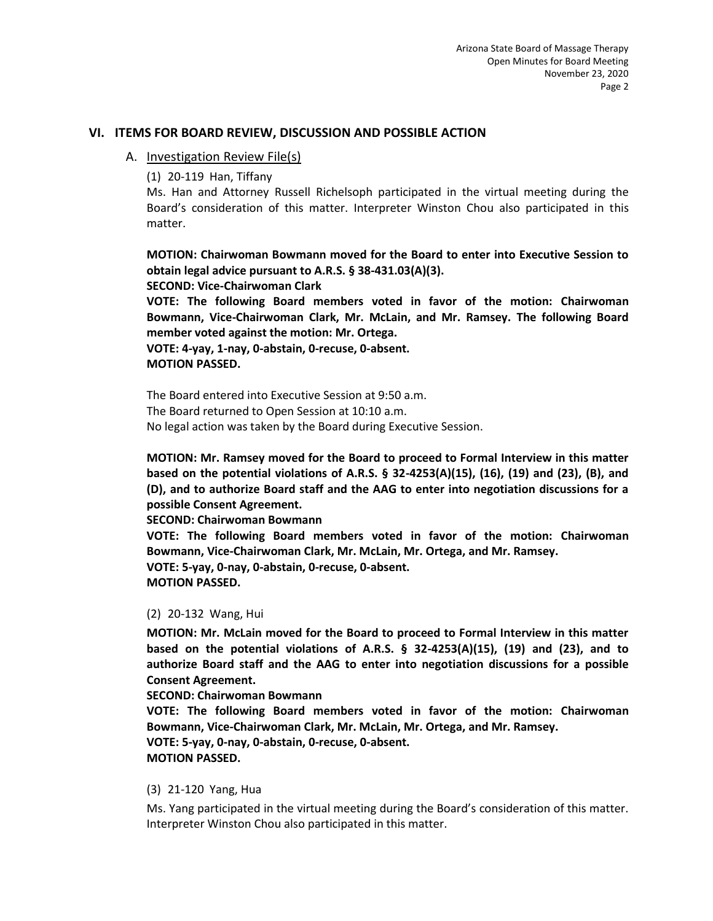#### **VI. ITEMS FOR BOARD REVIEW, DISCUSSION AND POSSIBLE ACTION**

#### A. Investigation Review File(s)

(1) 20-119 Han, Tiffany

Ms. Han and Attorney Russell Richelsoph participated in the virtual meeting during the Board's consideration of this matter. Interpreter Winston Chou also participated in this matter.

**MOTION: Chairwoman Bowmann moved for the Board to enter into Executive Session to obtain legal advice pursuant to A.R.S. § 38-431.03(A)(3).** 

#### **SECOND: Vice-Chairwoman Clark**

**VOTE: The following Board members voted in favor of the motion: Chairwoman Bowmann, Vice-Chairwoman Clark, Mr. McLain, and Mr. Ramsey. The following Board member voted against the motion: Mr. Ortega.** 

**VOTE: 4-yay, 1-nay, 0-abstain, 0-recuse, 0-absent. MOTION PASSED.** 

The Board entered into Executive Session at 9:50 a.m. The Board returned to Open Session at 10:10 a.m. No legal action was taken by the Board during Executive Session.

**MOTION: Mr. Ramsey moved for the Board to proceed to Formal Interview in this matter based on the potential violations of A.R.S. § 32-4253(A)(15), (16), (19) and (23), (B), and (D), and to authorize Board staff and the AAG to enter into negotiation discussions for a possible Consent Agreement.** 

**SECOND: Chairwoman Bowmann** 

**VOTE: The following Board members voted in favor of the motion: Chairwoman Bowmann, Vice-Chairwoman Clark, Mr. McLain, Mr. Ortega, and Mr. Ramsey. VOTE: 5-yay, 0-nay, 0-abstain, 0-recuse, 0-absent. MOTION PASSED.** 

#### (2) 20-132 Wang, Hui

**MOTION: Mr. McLain moved for the Board to proceed to Formal Interview in this matter based on the potential violations of A.R.S. § 32-4253(A)(15), (19) and (23), and to authorize Board staff and the AAG to enter into negotiation discussions for a possible Consent Agreement.**

**SECOND: Chairwoman Bowmann** 

**VOTE: The following Board members voted in favor of the motion: Chairwoman Bowmann, Vice-Chairwoman Clark, Mr. McLain, Mr. Ortega, and Mr. Ramsey.**

**VOTE: 5-yay, 0-nay, 0-abstain, 0-recuse, 0-absent.** 

## **MOTION PASSED.**

#### (3) 21-120 Yang, Hua

Ms. Yang participated in the virtual meeting during the Board's consideration of this matter. Interpreter Winston Chou also participated in this matter.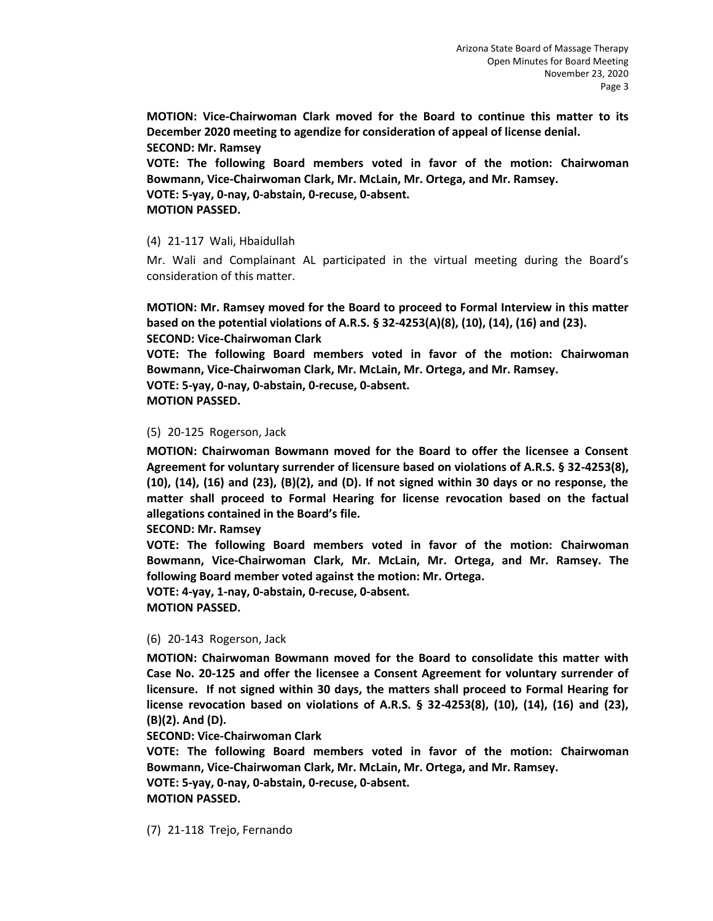**MOTION: Vice-Chairwoman Clark moved for the Board to continue this matter to its December 2020 meeting to agendize for consideration of appeal of license denial. SECOND: Mr. Ramsey** 

**VOTE: The following Board members voted in favor of the motion: Chairwoman Bowmann, Vice-Chairwoman Clark, Mr. McLain, Mr. Ortega, and Mr. Ramsey. VOTE: 5-yay, 0-nay, 0-abstain, 0-recuse, 0-absent. MOTION PASSED.** 

#### (4) 21-117 Wali, Hbaidullah

Mr. Wali and Complainant AL participated in the virtual meeting during the Board's consideration of this matter.

**MOTION: Mr. Ramsey moved for the Board to proceed to Formal Interview in this matter based on the potential violations of A.R.S. § 32-4253(A)(8), (10), (14), (16) and (23). SECOND: Vice-Chairwoman Clark** 

**VOTE: The following Board members voted in favor of the motion: Chairwoman Bowmann, Vice-Chairwoman Clark, Mr. McLain, Mr. Ortega, and Mr. Ramsey.**

**VOTE: 5-yay, 0-nay, 0-abstain, 0-recuse, 0-absent.** 

**MOTION PASSED.** 

## (5) 20-125 Rogerson, Jack

**MOTION: Chairwoman Bowmann moved for the Board to offer the licensee a Consent Agreement for voluntary surrender of licensure based on violations of A.R.S. § 32-4253(8), (10), (14), (16) and (23), (B)(2), and (D). If not signed within 30 days or no response, the matter shall proceed to Formal Hearing for license revocation based on the factual allegations contained in the Board's file.** 

**SECOND: Mr. Ramsey** 

**VOTE: The following Board members voted in favor of the motion: Chairwoman Bowmann, Vice-Chairwoman Clark, Mr. McLain, Mr. Ortega, and Mr. Ramsey. The following Board member voted against the motion: Mr. Ortega.** 

**VOTE: 4-yay, 1-nay, 0-abstain, 0-recuse, 0-absent. MOTION PASSED.** 

#### (6) 20-143 Rogerson, Jack

**MOTION: Chairwoman Bowmann moved for the Board to consolidate this matter with Case No. 20-125 and offer the licensee a Consent Agreement for voluntary surrender of licensure. If not signed within 30 days, the matters shall proceed to Formal Hearing for license revocation based on violations of A.R.S. § 32-4253(8), (10), (14), (16) and (23), (B)(2). And (D).** 

**SECOND: Vice-Chairwoman Clark** 

**VOTE: The following Board members voted in favor of the motion: Chairwoman Bowmann, Vice-Chairwoman Clark, Mr. McLain, Mr. Ortega, and Mr. Ramsey.**

**VOTE: 5-yay, 0-nay, 0-abstain, 0-recuse, 0-absent. MOTION PASSED.** 

(7) 21-118 Trejo, Fernando